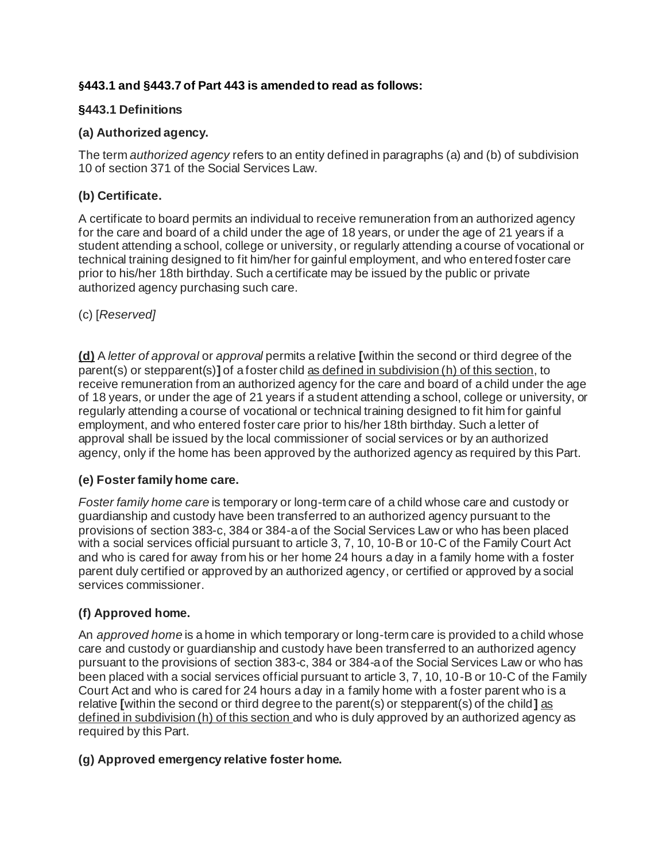## **§443.1 and §443.7 of Part 443 is amended to read as follows:**

### **§443.1 Definitions**

### **(a) Authorized agency.**

The term *authorized agency* refers to an entity defined in paragraphs (a) and (b) of subdivision 10 of section 371 of the Social Services Law.

## **(b) Certificate.**

A certificate to board permits an individual to receive remuneration from an authorized agency for the care and board of a child under the age of 18 years, or under the age of 21 years if a student attending a school, college or university, or regularly attending a course of vocational or technical training designed to fit him/her for gainful employment, and who entered foster care prior to his/her 18th birthday. Such a certificate may be issued by the public or private authorized agency purchasing such care.

(c) [*Reserved]*

**(d)** A *letter of approval* or *approval* permits a relative **[**within the second or third degree of the parent(s) or stepparent(s)**]** of a foster child as defined in subdivision (h) of this section, to receive remuneration from an authorized agency for the care and board of a child under the age of 18 years, or under the age of 21 years if a student attending a school, college or university, or regularly attending a course of vocational or technical training designed to fit him for gainful employment, and who entered foster care prior to his/her 18th birthday. Such a letter of approval shall be issued by the local commissioner of social services or by an authorized agency, only if the home has been approved by the authorized agency as required by this Part.

## **(e) Foster family home care.**

*Foster family home care* is temporary or long-term care of a child whose care and custody or guardianship and custody have been transferred to an authorized agency pursuant to the provisions of section 383-c, 384 or 384-a of the Social Services Law or who has been placed with a social services official pursuant to article 3, 7, 10, 10-B or 10-C of the Family Court Act and who is cared for away from his or her home 24 hours a day in a family home with a foster parent duly certified or approved by an authorized agency, or certified or approved by a social services commissioner.

# **(f) Approved home.**

An *approved home* is a home in which temporary or long-term care is provided to a child whose care and custody or guardianship and custody have been transferred to an authorized agency pursuant to the provisions of section 383-c, 384 or 384-a of the Social Services Law or who has been placed with a social services official pursuant to article 3, 7, 10, 10-B or 10-C of the Family Court Act and who is cared for 24 hours a day in a family home with a foster parent who is a relative **[**within the second or third degree to the parent(s) or stepparent(s) of the child**]** as defined in subdivision (h) of this section and who is duly approved by an authorized agency as required by this Part.

## **(g) Approved emergency relative foster home.**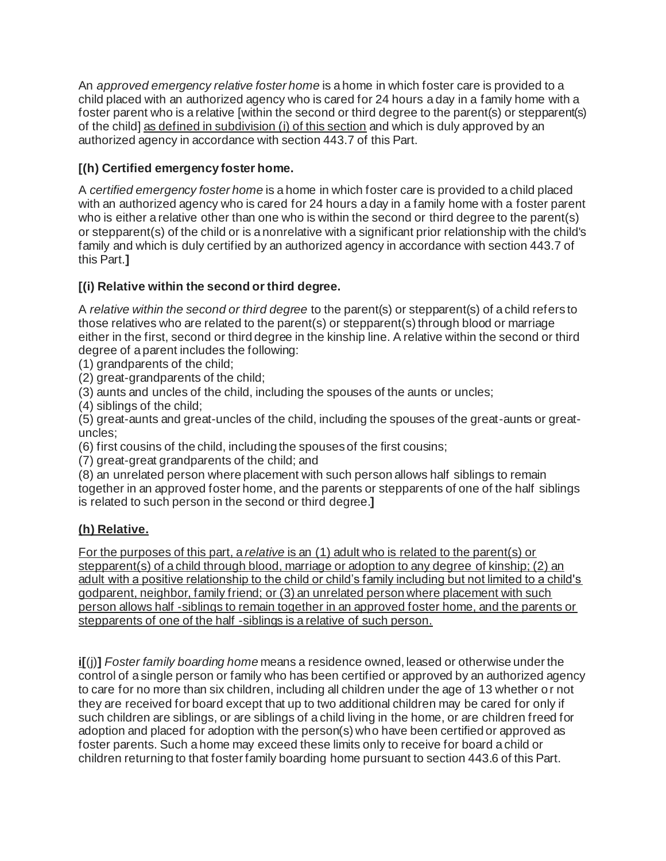An *approved emergency relative foster home* is a home in which foster care is provided to a child placed with an authorized agency who is cared for 24 hours a day in a family home with a foster parent who is a relative [within the second or third degree to the parent(s) or stepparent(s) of the child] as defined in subdivision (i) of this section and which is duly approved by an authorized agency in accordance with section 443.7 of this Part.

# **[(h) Certified emergency foster home.**

A *certified emergency foster home* is a home in which foster care is provided to a child placed with an authorized agency who is cared for 24 hours a day in a family home with a foster parent who is either a relative other than one who is within the second or third degree to the parent(s) or stepparent(s) of the child or is a nonrelative with a significant prior relationship with the child's family and which is duly certified by an authorized agency in accordance with section 443.7 of this Part.**]**

## **[(i) Relative within the second or third degree.**

A *relative within the second or third degree* to the parent(s) or stepparent(s) of a child refers to those relatives who are related to the parent(s) or stepparent(s) through blood or marriage either in the first, second or third degree in the kinship line. A relative within the second or third degree of a parent includes the following:

- (1) grandparents of the child;
- (2) great-grandparents of the child;
- (3) aunts and uncles of the child, including the spouses of the aunts or uncles;
- (4) siblings of the child;

(5) great-aunts and great-uncles of the child, including the spouses of the great-aunts or greatuncles;

(6) first cousins of the child, including the spouses of the first cousins;

(7) great-great grandparents of the child; and

(8) an unrelated person where placement with such person allows half siblings to remain together in an approved foster home, and the parents or stepparents of one of the half siblings is related to such person in the second or third degree.**]**

# **(h) Relative.**

For the purposes of this part, a *relative* is an (1) adult who is related to the parent(s) or stepparent(s) of a child through blood, marriage or adoption to any degree of kinship; (2) an adult with a positive relationship to the child or child's family including but not limited to a child's godparent, neighbor, family friend; or (3) an unrelated person where placement with such person allows half -siblings to remain together in an approved foster home, and the parents or stepparents of one of the half -siblings is a relative of such person.

**i[**(j)**]** *Foster family boarding home* means a residence owned, leased or otherwise under the control of a single person or family who has been certified or approved by an authorized agency to care for no more than six children, including all children under the age of 13 whether or not they are received for board except that up to two additional children may be cared for only if such children are siblings, or are siblings of a child living in the home, or are children freed for adoption and placed for adoption with the person(s) who have been certified or approved as foster parents. Such a home may exceed these limits only to receive for board a child or children returning to that foster family boarding home pursuant to section 443.6 of this Part.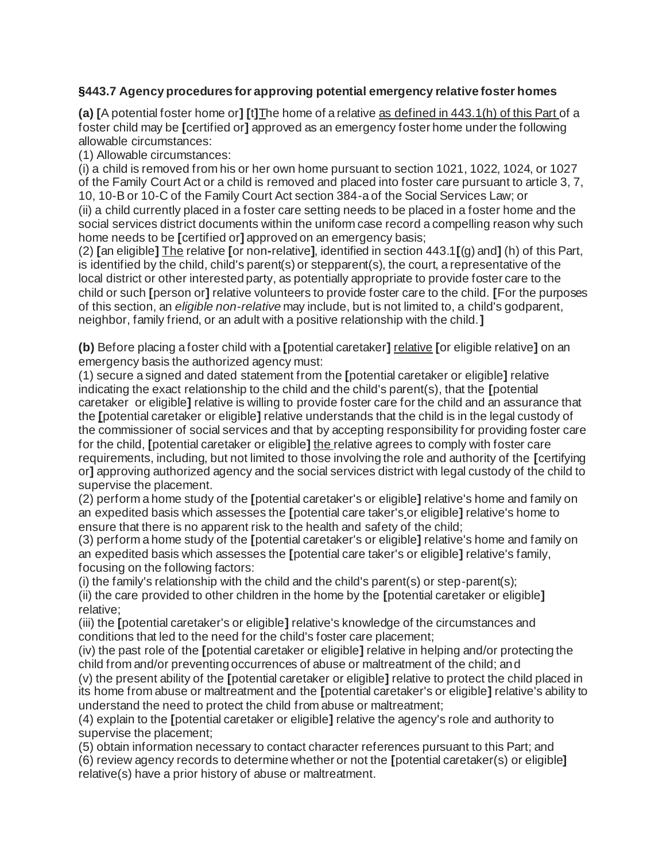#### **§443.7 Agency procedures for approving potential emergency relative foster homes**

**(a) [**A potential foster home or**] [**t**]**The home of a relative as defined in 443.1(h) of this Part of a foster child may be **[**certified or**]** approved as an emergency foster home under the following allowable circumstances:

(1) Allowable circumstances:

(i) a child is removed from his or her own home pursuant to section 1021, 1022, 1024, or 1027 of the Family Court Act or a child is removed and placed into foster care pursuant to article 3, 7, 10, 10-B or 10-C of the Family Court Act section 384-a of the Social Services Law; or (ii) a child currently placed in a foster care setting needs to be placed in a foster home and the social services district documents within the uniform case record a compelling reason why such home needs to be **[**certified or**]** approved on an emergency basis;

(2) **[**an eligible**]** The relative **[**or non**-**relative**]**, identified in section 443.1**[**(g) and**]** (h) of this Part, is identified by the child, child's parent(s) or stepparent(s), the court, a representative of the local district or other interested party, as potentially appropriate to provide foster care to the child or such **[**person or**]** relative volunteers to provide foster care to the child. **[**For the purposes of this section, an *eligible non-relative* may include, but is not limited to, a child's godparent, neighbor, family friend, or an adult with a positive relationship with the child.**]**

**(b)** Before placing a foster child with a **[**potential caretaker**]** relative **[**or eligible relative**]** on an emergency basis the authorized agency must:

(1) secure a signed and dated statement from the **[**potential caretaker or eligible**]** relative indicating the exact relationship to the child and the child's parent(s), that the **[**potential caretaker or eligible**]** relative is willing to provide foster care for the child and an assurance that the **[**potential caretaker or eligible**]** relative understands that the child is in the legal custody of the commissioner of social services and that by accepting responsibility for providing foster care for the child, **[**potential caretaker or eligible**]** the relative agrees to comply with foster care requirements, including, but not limited to those involving the role and authority of the **[**certifying or**]** approving authorized agency and the social services district with legal custody of the child to supervise the placement.

(2) perform a home study of the **[**potential caretaker's or eligible**]** relative's home and family on an expedited basis which assesses the **[**potential care taker's or eligible**]** relative's home to ensure that there is no apparent risk to the health and safety of the child;

(3) perform a home study of the **[**potential caretaker's or eligible**]** relative's home and family on an expedited basis which assesses the **[**potential care taker's or eligible**]** relative's family, focusing on the following factors:

(i) the family's relationship with the child and the child's parent(s) or step-parent(s);

(ii) the care provided to other children in the home by the **[**potential caretaker or eligible**]** relative;

(iii) the **[**potential caretaker's or eligible**]** relative's knowledge of the circumstances and conditions that led to the need for the child's foster care placement;

(iv) the past role of the **[**potential caretaker or eligible**]** relative in helping and/or protecting the child from and/or preventing occurrences of abuse or maltreatment of the child; and

(v) the present ability of the **[**potential caretaker or eligible**]** relative to protect the child placed in its home from abuse or maltreatment and the **[**potential caretaker's or eligible**]** relative's ability to understand the need to protect the child from abuse or maltreatment;

(4) explain to the **[**potential caretaker or eligible**]** relative the agency's role and authority to supervise the placement;

(5) obtain information necessary to contact character references pursuant to this Part; and

(6) review agency records to determine whether or not the **[**potential caretaker(s) or eligible**]** relative(s) have a prior history of abuse or maltreatment.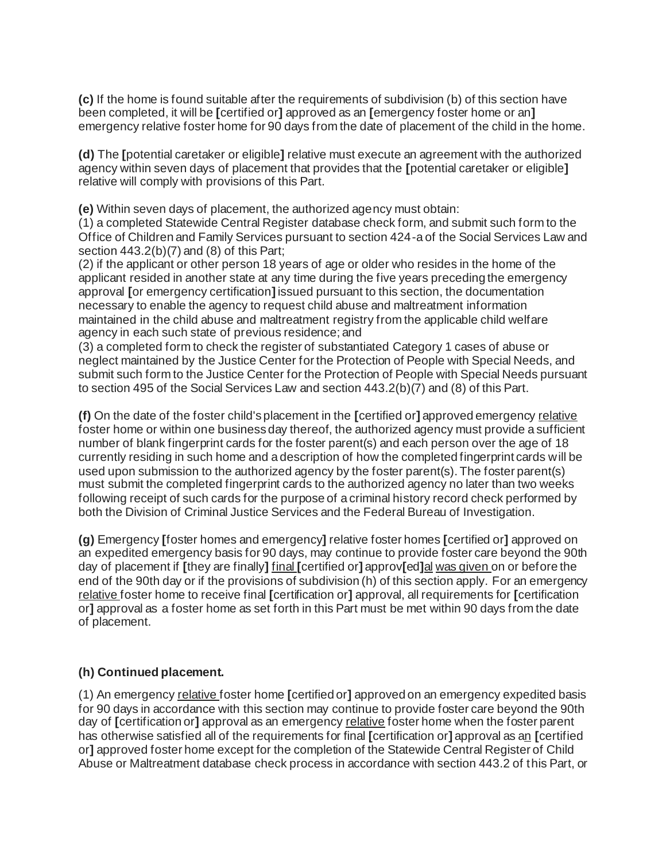**(c)** If the home is found suitable after the requirements of subdivision (b) of this section have been completed, it will be **[**certified or**]** approved as an **[**emergency foster home or an**]** emergency relative foster home for 90 days from the date of placement of the child in the home.

**(d)** The **[**potential caretaker or eligible**]** relative must execute an agreement with the authorized agency within seven days of placement that provides that the **[**potential caretaker or eligible**]** relative will comply with provisions of this Part.

**(e)** Within seven days of placement, the authorized agency must obtain:

(1) a completed Statewide Central Register database check form, and submit such form to the Office of Children and Family Services pursuant to section 424-a of the Social Services Law and section 443.2(b)(7) and (8) of this Part;

(2) if the applicant or other person 18 years of age or older who resides in the home of the applicant resided in another state at any time during the five years preceding the emergency approval **[**or emergency certification**]** issued pursuant to this section, the documentation necessary to enable the agency to request child abuse and maltreatment information maintained in the child abuse and maltreatment registry from the applicable child welfare agency in each such state of previous residence; and

(3) a completed form to check the register of substantiated Category 1 cases of abuse or neglect maintained by the Justice Center for the Protection of People with Special Needs, and submit such form to the Justice Center for the Protection of People with Special Needs pursuant to section 495 of the Social Services Law and section 443.2(b)(7) and (8) of this Part.

**(f)** On the date of the foster child's placement in the **[**certified or**]** approved emergency relative foster home or within one business day thereof, the authorized agency must provide a sufficient number of blank fingerprint cards for the foster parent(s) and each person over the age of 18 currently residing in such home and a description of how the completed fingerprint cards will be used upon submission to the authorized agency by the foster parent(s). The foster parent(s) must submit the completed fingerprint cards to the authorized agency no later than two weeks following receipt of such cards for the purpose of a criminal history record check performed by both the Division of Criminal Justice Services and the Federal Bureau of Investigation.

**(g)** Emergency **[**foster homes and emergency**]** relative foster homes **[**certified or**]** approved on an expedited emergency basis for 90 days, may continue to provide foster care beyond the 90th day of placement if **[**they are finally**]** final **[**certified or**]** approv**[**ed**]**al was given on or before the end of the 90th day or if the provisions of subdivision (h) of this section apply. For an emergency relative foster home to receive final **[**certification or**]** approval, all requirements for **[**certification or**]** approval as a foster home as set forth in this Part must be met within 90 days from the date of placement.

#### **(h) Continued placement.**

(1) An emergency relative foster home **[**certified or**]** approved on an emergency expedited basis for 90 days in accordance with this section may continue to provide foster care beyond the 90th day of **[**certification or**]** approval as an emergency relative foster home when the foster parent has otherwise satisfied all of the requirements for final **[**certification or**]** approval as an **[**certified or**]** approved foster home except for the completion of the Statewide Central Register of Child Abuse or Maltreatment database check process in accordance with section 443.2 of this Part, or